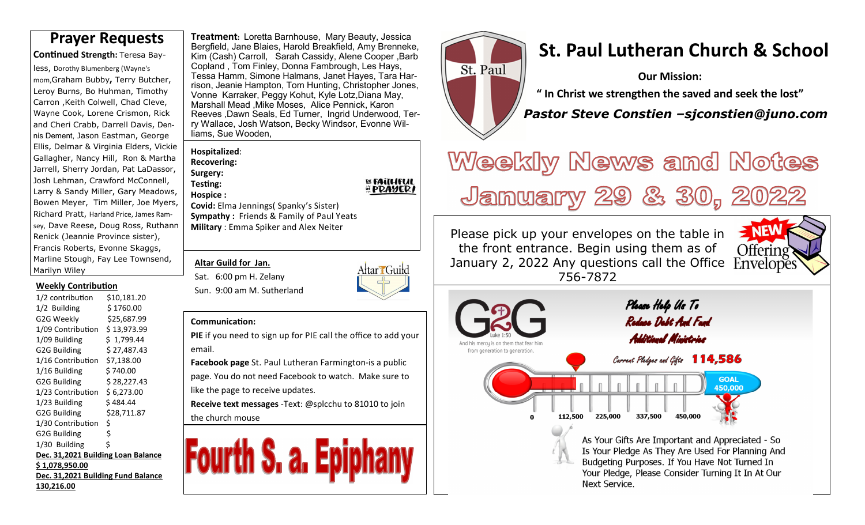**Con nued Strength:** Teresa Bay-

less, Dorothy Blumenberg (Wayne's mom,Graham Bubby**,** Terry Butcher, Leroy Burns, Bo Huhman, Timothy Carron ,Keith Colwell, Chad Cleve, Wayne Cook, Lorene Crismon, Rick and Cheri Crabb, Darrell Davis, Dennis Dement, Jason Eastman, George Ellis, Delmar & Virginia Elders, Vickie Gallagher, Nancy Hill, Ron & Martha Jarrell, Sherry Jordan, Pat LaDassor, Josh Lehman, Crawford McConnell, Larry & Sandy Miller, Gary Meadows, Bowen Meyer, Tim Miller, Joe Myers, Richard Pratt, Harland Price, James Ramsey, Dave Reese, Doug Ross, Ruthann Renick (Jeannie Province sister), Francis Roberts, Evonne Skaggs, Marline Stough, Fay Lee Townsend, Marilyn Wiley

#### **Weekly Contribution**

| 1/2 contribution                   | \$10,181.20 |  |  |  |  |  |  |  |
|------------------------------------|-------------|--|--|--|--|--|--|--|
| 1/2 Building                       | \$ 1760.00  |  |  |  |  |  |  |  |
| G2G Weekly                         | \$25,687.99 |  |  |  |  |  |  |  |
| 1/09 Contribution                  | \$13,973.99 |  |  |  |  |  |  |  |
| 1/09 Building                      | \$1,799.44  |  |  |  |  |  |  |  |
| G2G Building                       | \$27,487.43 |  |  |  |  |  |  |  |
| 1/16 Contribution                  | \$7,138.00  |  |  |  |  |  |  |  |
| 1/16 Building                      | \$740.00    |  |  |  |  |  |  |  |
| G2G Building                       | \$28,227.43 |  |  |  |  |  |  |  |
| 1/23 Contribution                  | \$6,273.00  |  |  |  |  |  |  |  |
| 1/23 Building                      | \$ 484.44   |  |  |  |  |  |  |  |
| G2G Building                       | \$28,711.87 |  |  |  |  |  |  |  |
| 1/30 Contribution                  | \$          |  |  |  |  |  |  |  |
| G2G Building                       | \$          |  |  |  |  |  |  |  |
| 1/30 Building                      | Ś           |  |  |  |  |  |  |  |
| Dec. 31,2021 Building Loan Balance |             |  |  |  |  |  |  |  |
| \$ 1,078,950.00                    |             |  |  |  |  |  |  |  |
| Dec. 31,2021 Building Fund Balance |             |  |  |  |  |  |  |  |
| 130,216.00                         |             |  |  |  |  |  |  |  |

**Treatment:** Loretta Barnhouse, Mary Beauty, Jessica Bergfield, Jane Blaies, Harold Breakfield, Amy Brenneke, Kim (Cash) Carroll, Sarah Cassidy, Alene Cooper ,Barb Copland , Tom Finley, Donna Fambrough, Les Hays, Tessa Hamm, Simone Halmans, Janet Hayes, Tara Harrison, Jeanie Hampton, Tom Hunting, Christopher Jones, Vonne Karraker, Peggy Kohut, Kyle Lotz,Diana May, Marshall Mead ,Mike Moses, Alice Pennick, Karon Reeves ,Dawn Seals, Ed Turner, Ingrid Underwood, Terry Wallace, Josh Watson, Becky Windsor, Evonne Williams, Sue Wooden, **Prayer Requests Preatment: Loretta Barnhouse, Mary Beauty, Jessica**<br> **St. Paul Lutheran Church & School** 

**Hospitalized**:

**Recovering: Surgery:** 

**Testing: Hospice :** 

**Covid:** Elma Jennings( Spanky's Sister) **Sympathy :** Friends & Family of Paul Yeats **Military** : Emma Spiker and Alex Neiter

#### **Altar Guild for Jan.**

Sat. 6:00 pm H. Zelany Sun. 9:00 am M. Sutherland



**EL FAITHFUL<br>HI PRAYER!** 

#### **Communication:**

**PIE** if you need to sign up for PIE call the office to add your email.

**Facebook page** St. Paul Lutheran Farmington-is a public page. You do not need Facebook to watch. Make sure to like the page to receive updates.

**Receive text messages** -Text: @splcchu to 81010 to join the church mouse





**Our Mission:** 

**" In Christ we strengthen the saved and seek the lost"** 

 *Pastor Steve Constien –sjconstien@juno.com*

# Weekly News and Notes January 29 & 30, 2022

Please pick up your envelopes on the table in the front entrance. Begin using them as of January 2, 2022 Any questions call the Office 756-7872